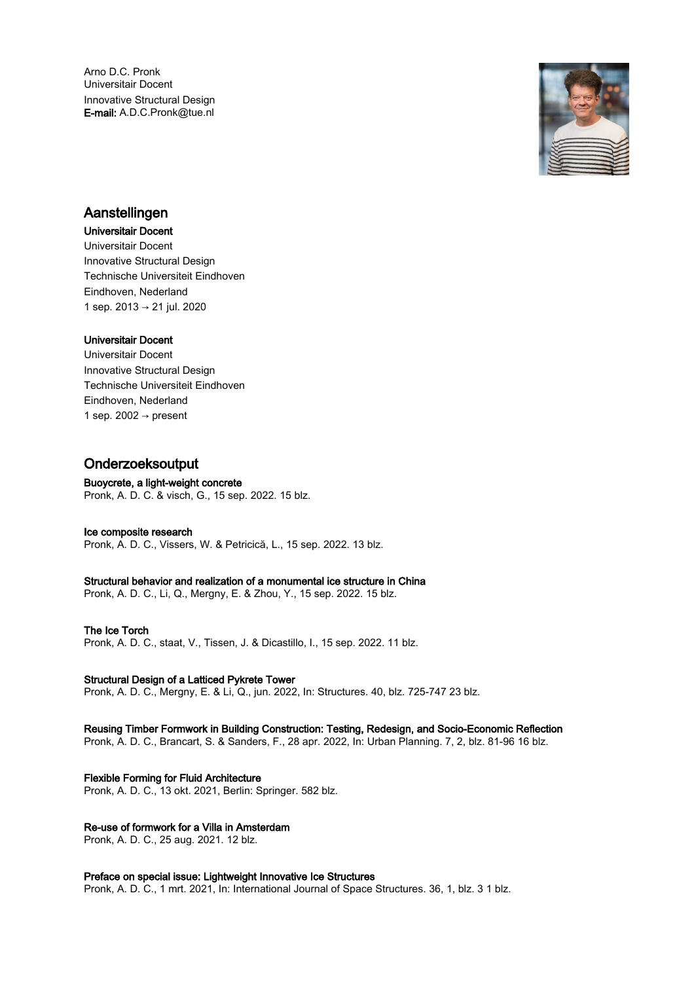Arno D.C. Pronk Universitair Docent Innovative Structural Design E-mail: A.D.C.Pronk@tue.nl



# Aanstellingen

# Universitair Docent

Universitair Docent Innovative Structural Design Technische Universiteit Eindhoven Eindhoven, Nederland 1 sep. 2013 → 21 jul. 2020

# Universitair Docent

Universitair Docent Innovative Structural Design Technische Universiteit Eindhoven Eindhoven, Nederland 1 sep. 2002  $\rightarrow$  present

# Onderzoeksoutput

# Buoycrete, a light-weight concrete

Pronk, A. D. C. & visch, G., 15 sep. 2022. 15 blz.

# Ice composite research

Pronk, A. D. C., Vissers, W. & Petricică, L., 15 sep. 2022. 13 blz.

# Structural behavior and realization of a monumental ice structure in China

Pronk, A. D. C., Li, Q., Mergny, E. & Zhou, Y., 15 sep. 2022. 15 blz.

# The Ice Torch

Pronk, A. D. C., staat, V., Tissen, J. & Dicastillo, I., 15 sep. 2022. 11 blz.

# Structural Design of a Latticed Pykrete Tower

Pronk, A. D. C., Mergny, E. & Li, Q., jun. 2022, In: Structures. 40, blz. 725-747 23 blz.

# Reusing Timber Formwork in Building Construction: Testing, Redesign, and Socio‐Economic Reflection

Pronk, A. D. C., Brancart, S. & Sanders, F., 28 apr. 2022, In: Urban Planning. 7, 2, blz. 81-96 16 blz.

# Flexible Forming for Fluid Architecture

Pronk, A. D. C., 13 okt. 2021, Berlin: Springer. 582 blz.

# Re-use of formwork for a Villa in Amsterdam

Pronk, A. D. C., 25 aug. 2021. 12 blz.

# Preface on special issue: Lightweight Innovative Ice Structures

Pronk, A. D. C., 1 mrt. 2021, In: International Journal of Space Structures. 36, 1, blz. 3 1 blz.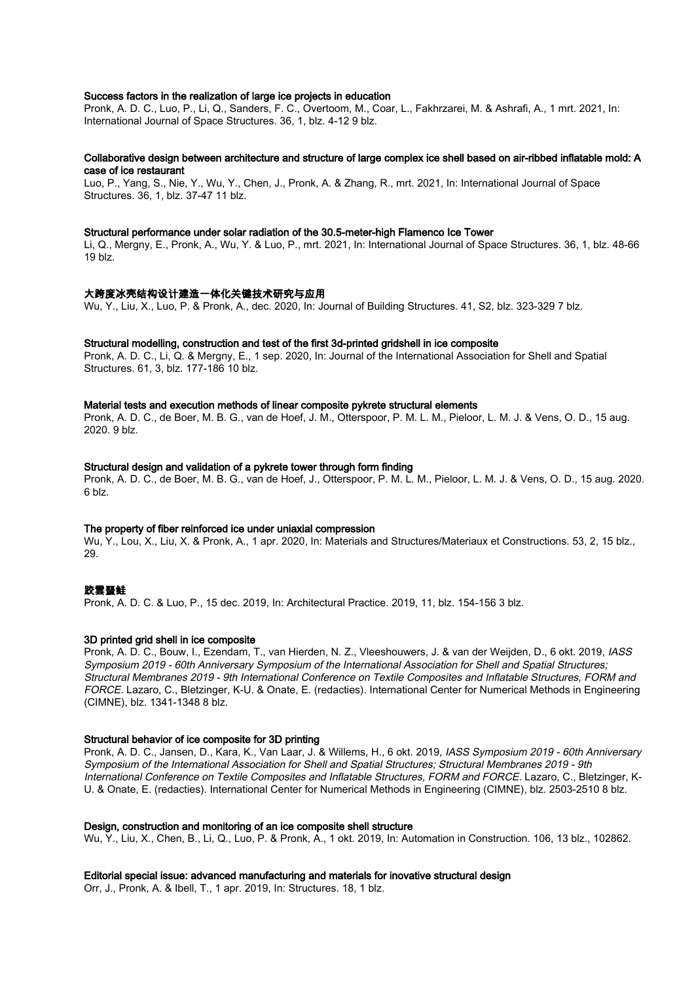# Success factors in the realization of large ice projects in education

Pronk, A. D. C., Luo, P., Li, Q., Sanders, F. C., Overtoom, M., Coar, L., Fakhrzarei, M. & Ashrafi, A., 1 mrt. 2021, In: International Journal of Space Structures. 36, 1, blz. 4-12 9 blz.

## Collaborative design between architecture and structure of large complex ice shell based on air-ribbed inflatable mold: A case of ice restaurant

Luo, P., Yang, S., Nie, Y., Wu, Y., Chen, J., Pronk, A. & Zhang, R., mrt. 2021, In: International Journal of Space Structures. 36, 1, blz. 37-47 11 blz.

### Structural performance under solar radiation of the 30.5-meter-high Flamenco Ice Tower

Li, Q., Mergny, E., Pronk, A., Wu, Y. & Luo, P., mrt. 2021, In: International Journal of Space Structures. 36, 1, blz. 48-66  $19$  blz.

### 大跨度冰壳结构设计建造一体化关键技术研究与应用

Wu, Y., Liu, X., Luo, P. & Pronk, A., dec. 2020, In: Journal of Building Structures. 41, S2, blz. 323-329 7 blz.

#### Structural modelling, construction and test of the first 3d-printed gridshell in ice composite

Pronk, A. D. C., Li, Q. & Mergny, E., 1 sep. 2020, In: Journal of the International Association for Shell and Spatial Structures. 61, 3, blz. 177-186 10 blz.

#### Material tests and execution methods of linear composite pykrete structural elements

Pronk, A. D. C., de Boer, M. B. G., van de Hoef, J. M., Otterspoor, P. M. L. M., Pieloor, L. M. J. & Vens, O. D., 15 aug. 2020. 9 blz.

#### Structural design and validation of a pykrete tower through form finding

Pronk, A. D. C., de Boer, M. B. G., van de Hoef, J., Otterspoor, P. M. L. M., Pieloor, L. M. J. & Vens, O. D., 15 aug. 2020. 6 blz.

## The property of fiber reinforced ice under uniaxial compression

Wu, Y., Lou, X., Liu, X. & Pronk, A., 1 apr. 2020, In: Materials and Structures/Materiaux et Constructions. 53, 2, 15 blz., 29.

# 跤雲蝁鲑

Pronk, A. D. C. & Luo, P., 15 dec. 2019, In: Architectural Practice. 2019, 11, blz. 154-156 3 blz.

#### 3D printed grid shell in ice composite

Pronk, A. D. C., Bouw, I., Ezendam, T., van Hierden, N. Z., Vleeshouwers, J. & van der Weijden, D., 6 okt. 2019, IASS Symposium 2019 - 60th Anniversary Symposium of the International Association for Shell and Spatial Structures; Structural Membranes 2019 - 9th International Conference on Textile Composites and Inflatable Structures, FORM and FORCE. Lazaro, C., Bletzinger, K-U. & Onate, E. (redacties). International Center for Numerical Methods in Engineering (CIMNE), blz. 1341-1348 8 blz.

#### Structural behavior of ice composite for 3D printing

Pronk, A. D. C., Jansen, D., Kara, K., Van Laar, J. & Willems, H., 6 okt. 2019, IASS Symposium 2019 - 60th Anniversary Symposium of the International Association for Shell and Spatial Structures; Structural Membranes 2019 - 9th International Conference on Textile Composites and Inflatable Structures, FORM and FORCE. Lazaro, C., Bletzinger, K-U. & Onate, E. (redacties). International Center for Numerical Methods in Engineering (CIMNE), blz. 2503-2510 8 blz.

#### Design, construction and monitoring of an ice composite shell structure

Wu, Y., Liu, X., Chen, B., Li, Q., Luo, P. & Pronk, A., 1 okt. 2019, In: Automation in Construction. 106, 13 blz., 102862.

## Editorial special issue: advanced manufacturing and materials for inovative structural design

Orr, J., Pronk, A. & Ibell, T., 1 apr. 2019, In: Structures. 18, 1 blz.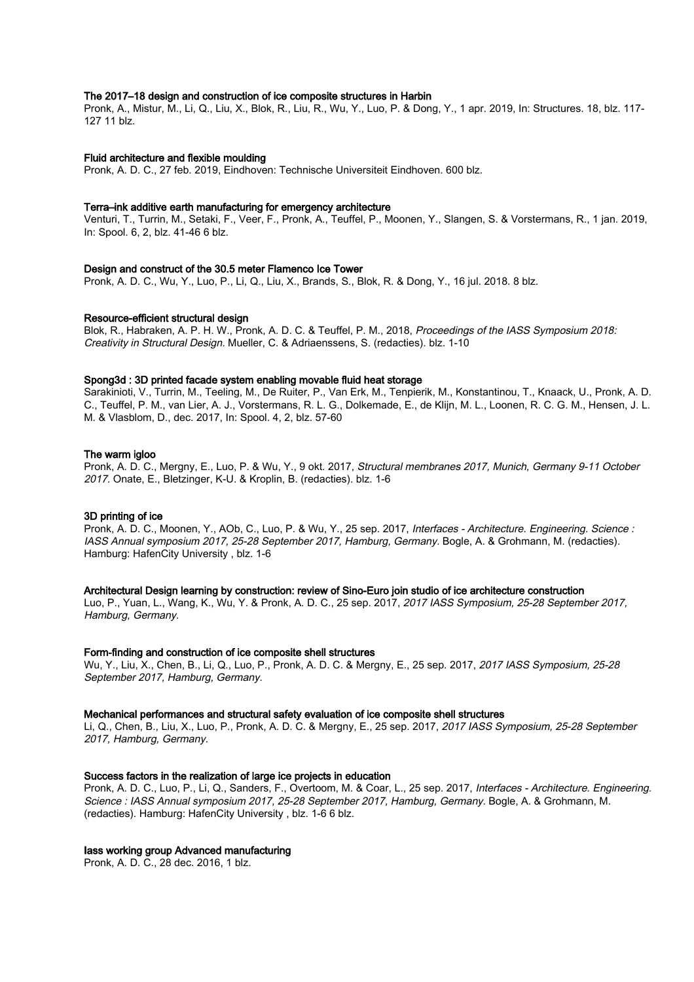## The 2017–18 design and construction of ice composite structures in Harbin

Pronk, A., Mistur, M., Li, Q., Liu, X., Blok, R., Liu, R., Wu, Y., Luo, P. & Dong, Y., 1 apr. 2019, In: Structures. 18, blz. 117- 127 11 blz.

#### Fluid architecture and flexible moulding

Pronk, A. D. C., 27 feb. 2019, Eindhoven: Technische Universiteit Eindhoven. 600 blz.

#### Terra–ink additive earth manufacturing for emergency architecture

Venturi, T., Turrin, M., Setaki, F., Veer, F., Pronk, A., Teuffel, P., Moonen, Y., Slangen, S. & Vorstermans, R., 1 jan. 2019, In: Spool. 6, 2, blz. 41-46 6 blz.

# Design and construct of the 30.5 meter Flamenco Ice Tower

Pronk, A. D. C., Wu, Y., Luo, P., Li, Q., Liu, X., Brands, S., Blok, R. & Dong, Y., 16 jul. 2018. 8 blz.

#### Resource-efficient structural design

Blok, R., Habraken, A. P. H. W., Pronk, A. D. C. & Teuffel, P. M., 2018, Proceedings of the IASS Symposium 2018: Creativity in Structural Design. Mueller, C. & Adriaenssens, S. (redacties). blz. 1-10

#### Spong3d : 3D printed facade system enabling movable fluid heat storage

Sarakinioti, V., Turrin, M., Teeling, M., De Ruiter, P., Van Erk, M., Tenpierik, M., Konstantinou, T., Knaack, U., Pronk, A. D. C., Teuffel, P. M., van Lier, A. J., Vorstermans, R. L. G., Dolkemade, E., de Klijn, M. L., Loonen, R. C. G. M., Hensen, J. L. M. & Vlasblom, D., dec. 2017, In: Spool. 4, 2, blz. 57-60

## The warm igloo

Pronk, A. D. C., Mergny, E., Luo, P. & Wu, Y., 9 okt. 2017, Structural membranes 2017, Munich, Germany 9-11 October 2017. Onate, E., Bletzinger, K-U. & Kroplin, B. (redacties). blz. 1-6

#### 3D printing of ice

Pronk, A. D. C., Moonen, Y., AOb, C., Luo, P. & Wu, Y., 25 sep. 2017, Interfaces - Architecture. Engineering. Science : IASS Annual symposium 2017, 25-28 September 2017, Hamburg, Germany. Bogle, A. & Grohmann, M. (redacties). Hamburg: HafenCity University , blz. 1-6

# Architectural Design learning by construction: review of Sino-Euro join studio of ice architecture construction

Luo, P., Yuan, L., Wang, K., Wu, Y. & Pronk, A. D. C., 25 sep. 2017, 2017 IASS Symposium, 25-28 September 2017, Hamburg, Germany.

#### Form-finding and construction of ice composite shell structures

Wu, Y., Liu, X., Chen, B., Li, Q., Luo, P., Pronk, A. D. C. & Mergny, E., 25 sep. 2017, 2017 IASS Symposium, 25-28 September 2017, Hamburg, Germany.

#### Mechanical performances and structural safety evaluation of ice composite shell structures

Li, Q., Chen, B., Liu, X., Luo, P., Pronk, A. D. C. & Mergny, E., 25 sep. 2017, 2017 IASS Symposium, 25-28 September 2017, Hamburg, Germany.

## Success factors in the realization of large ice projects in education

Pronk, A. D. C., Luo, P., Li, Q., Sanders, F., Overtoom, M. & Coar, L., 25 sep. 2017, Interfaces - Architecture. Engineering. Science : IASS Annual symposium 2017, 25-28 September 2017, Hamburg, Germany. Bogle, A. & Grohmann, M. (redacties). Hamburg: HafenCity University , blz. 1-6 6 blz.

#### Iass working group Advanced manufacturing

Pronk, A. D. C., 28 dec. 2016, 1 blz.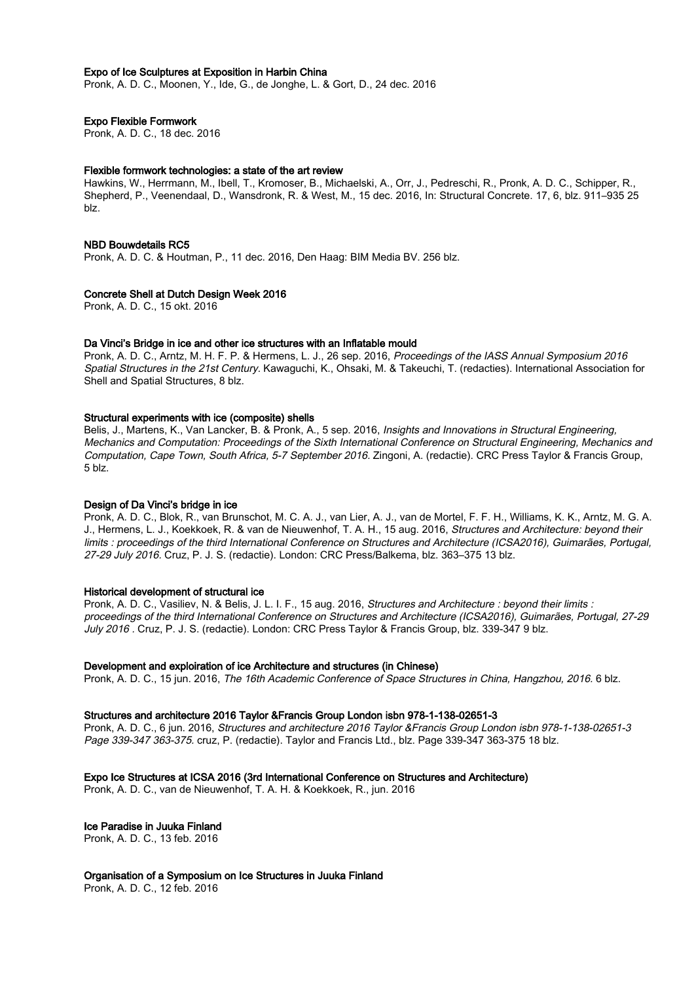# Expo of Ice Sculptures at Exposition in Harbin China

Pronk, A. D. C., Moonen, Y., Ide, G., de Jonghe, L. & Gort, D., 24 dec. 2016

# Expo Flexible Formwork

Pronk, A. D. C., 18 dec. 2016

#### Flexible formwork technologies: a state of the art review

Hawkins, W., Herrmann, M., Ibell, T., Kromoser, B., Michaelski, A., Orr, J., Pedreschi, R., Pronk, A. D. C., Schipper, R., Shepherd, P., Veenendaal, D., Wansdronk, R. & West, M., 15 dec. 2016, In: Structural Concrete. 17, 6, blz. 911–935 25 blz.

#### NBD Bouwdetails RC5

Pronk, A. D. C. & Houtman, P., 11 dec. 2016, Den Haag: BIM Media BV. 256 blz.

#### Concrete Shell at Dutch Design Week 2016

Pronk, A. D. C., 15 okt. 2016

#### Da Vinci's Bridge in ice and other ice structures with an Inflatable mould

Pronk, A. D. C., Arntz, M. H. F. P. & Hermens, L. J., 26 sep. 2016, Proceedings of the IASS Annual Symposium 2016 Spatial Structures in the 21st Century. Kawaguchi, K., Ohsaki, M. & Takeuchi, T. (redacties). International Association for Shell and Spatial Structures, 8 blz.

#### Structural experiments with ice (composite) shells

Belis, J., Martens, K., Van Lancker, B. & Pronk, A., 5 sep. 2016, Insights and Innovations in Structural Engineering, Mechanics and Computation: Proceedings of the Sixth International Conference on Structural Engineering, Mechanics and Computation, Cape Town, South Africa, 5-7 September 2016. Zingoni, A. (redactie). CRC Press Taylor & Francis Group, 5 blz.

## Design of Da Vinci's bridge in ice

Pronk, A. D. C., Blok, R., van Brunschot, M. C. A. J., van Lier, A. J., van de Mortel, F. F. H., Williams, K. K., Arntz, M. G. A. J., Hermens, L. J., Koekkoek, R. & van de Nieuwenhof, T. A. H., 15 aug. 2016, Structures and Architecture: beyond their limits : proceedings of the third International Conference on Structures and Architecture (ICSA2016), Guimarães, Portugal, 27-29 July 2016. Cruz, P. J. S. (redactie). London: CRC Press/Balkema, blz. 363–375 13 blz.

#### Historical development of structural ice

Pronk, A. D. C., Vasiliev, N. & Belis, J. L. I. F., 15 aug. 2016, Structures and Architecture : beyond their limits : proceedings of the third International Conference on Structures and Architecture (ICSA2016), Guimarães, Portugal, 27-29 July 2016 . Cruz, P. J. S. (redactie). London: CRC Press Taylor & Francis Group, blz. 339-347 9 blz.

#### Development and exploiration of ice Architecture and structures (in Chinese)

Pronk, A. D. C., 15 jun. 2016, The 16th Academic Conference of Space Structures in China, Hangzhou, 2016. 6 blz.

### Structures and architecture 2016 Taylor &Francis Group London isbn 978-1-138-02651-3

Pronk, A. D. C., 6 jun. 2016, Structures and architecture 2016 Taylor &Francis Group London isbn 978-1-138-02651-3 Page 339-347 363-375. cruz, P. (redactie). Taylor and Francis Ltd., blz. Page 339-347 363-375 18 blz.

## Expo Ice Structures at ICSA 2016 (3rd International Conference on Structures and Architecture)

Pronk, A. D. C., van de Nieuwenhof, T. A. H. & Koekkoek, R., jun. 2016

# Ice Paradise in Juuka Finland

Pronk, A. D. C., 13 feb. 2016

## Organisation of a Symposium on Ice Structures in Juuka Finland

Pronk, A. D. C., 12 feb. 2016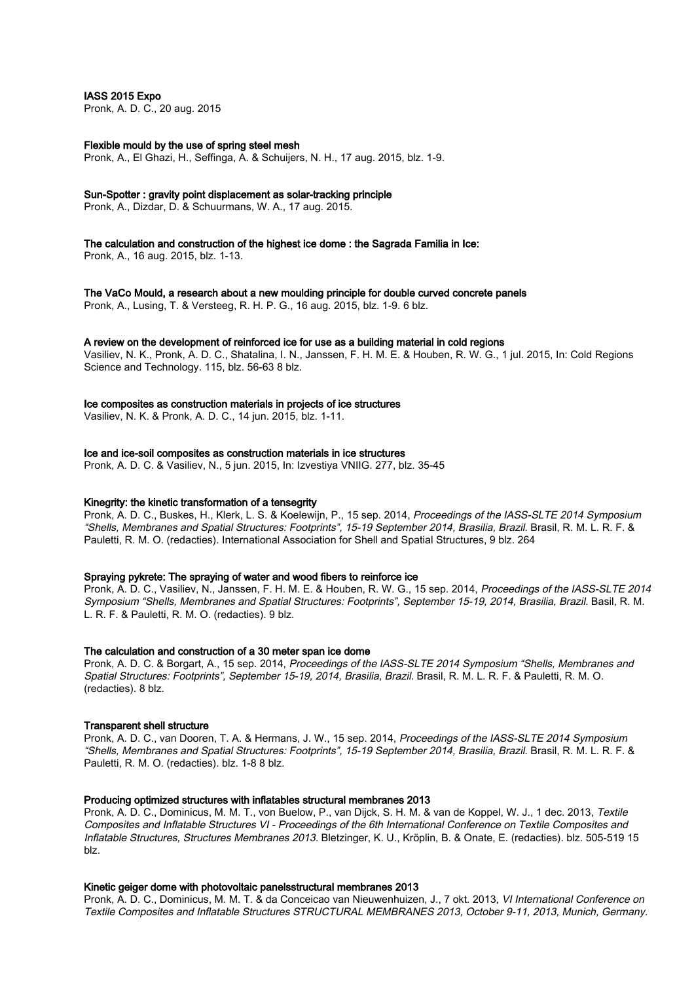IASS 2015 Expo

Pronk, A. D. C., 20 aug. 2015

## Flexible mould by the use of spring steel mesh

Pronk, A., El Ghazi, H., Seffinga, A. & Schuijers, N. H., 17 aug. 2015, blz. 1-9.

## Sun-Spotter : gravity point displacement as solar-tracking principle

Pronk, A., Dizdar, D. & Schuurmans, W. A., 17 aug. 2015.

# The calculation and construction of the highest ice dome : the Sagrada Familia in Ice:

Pronk, A., 16 aug. 2015, blz. 1-13.

# The VaCo Mould, a research about a new moulding principle for double curved concrete panels

Pronk, A., Lusing, T. & Versteeg, R. H. P. G., 16 aug. 2015, blz. 1-9. 6 blz.

### A review on the development of reinforced ice for use as a building material in cold regions

Vasiliev, N. K., Pronk, A. D. C., Shatalina, I. N., Janssen, F. H. M. E. & Houben, R. W. G., 1 jul. 2015, In: Cold Regions Science and Technology. 115, blz. 56-63 8 blz.

## Ice composites as construction materials in projects of ice structures

Vasiliev, N. K. & Pronk, A. D. C., 14 jun. 2015, blz. 1-11.

# Ice and ice-soil composites as construction materials in ice structures

Pronk, A. D. C. & Vasiliev, N., 5 jun. 2015, In: Izvestiya VNIIG. 277, blz. 35-45

# Kinegrity: the kinetic transformation of a tensegrity

Pronk, A. D. C., Buskes, H., Klerk, L. S. & Koelewijn, P., 15 sep. 2014, Proceedings of the IASS-SLTE 2014 Symposium "Shells, Membranes and Spatial Structures: Footprints", 15-19 September 2014, Brasilia, Brazil. Brasil, R. M. L. R. F. & Pauletti, R. M. O. (redacties). International Association for Shell and Spatial Structures, 9 blz. 264

#### Spraying pykrete: The spraying of water and wood fibers to reinforce ice

Pronk, A. D. C., Vasiliev, N., Janssen, F. H. M. E. & Houben, R. W. G., 15 sep. 2014, Proceedings of the IASS-SLTE 2014 Symposium "Shells, Membranes and Spatial Structures: Footprints", September 15-19, 2014, Brasilia, Brazil. Basil, R. M. L. R. F. & Pauletti, R. M. O. (redacties). 9 blz.

#### The calculation and construction of a 30 meter span ice dome

Pronk, A. D. C. & Borgart, A., 15 sep. 2014, Proceedings of the IASS-SLTE 2014 Symposium "Shells, Membranes and Spatial Structures: Footprints", September 15-19, 2014, Brasilia, Brazil. Brasil, R. M. L. R. F. & Pauletti, R. M. O. (redacties). 8 blz.

# Transparent shell structure

Pronk, A. D. C., van Dooren, T. A. & Hermans, J. W., 15 sep. 2014, Proceedings of the IASS-SLTE 2014 Symposium "Shells, Membranes and Spatial Structures: Footprints", 15-19 September 2014, Brasilia, Brazil. Brasil, R. M. L. R. F. & Pauletti, R. M. O. (redacties). blz. 1-8 8 blz.

# Producing optimized structures with inflatables structural membranes 2013

Pronk, A. D. C., Dominicus, M. M. T., von Buelow, P., van Dijck, S. H. M. & van de Koppel, W. J., 1 dec. 2013, Textile Composites and Inflatable Structures VI - Proceedings of the 6th International Conference on Textile Composites and Inflatable Structures, Structures Membranes 2013. Bletzinger, K. U., Kröplin, B. & Onate, E. (redacties). blz. 505-519 15 blz.

## Kinetic geiger dome with photovoltaic panelsstructural membranes 2013

Pronk, A. D. C., Dominicus, M. M. T. & da Conceicao van Nieuwenhuizen, J., 7 okt. 2013, VI International Conference on Textile Composites and Inflatable Structures STRUCTURAL MEMBRANES 2013, October 9-11, 2013, Munich, Germany.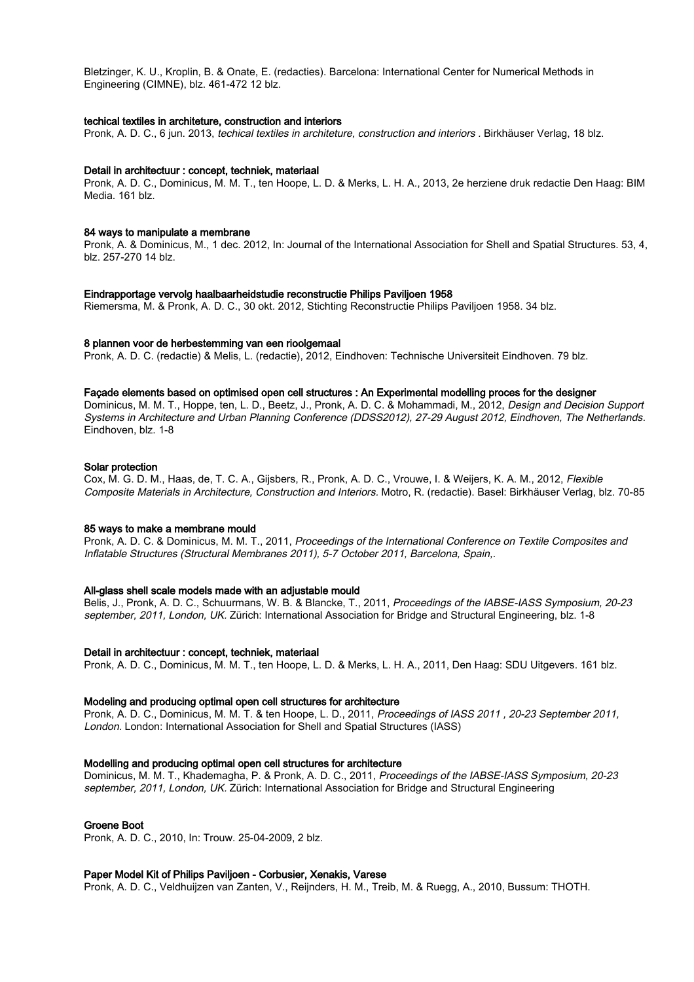Bletzinger, K. U., Kroplin, B. & Onate, E. (redacties). Barcelona: International Center for Numerical Methods in Engineering (CIMNE), blz. 461-472 12 blz.

#### techical textiles in architeture, construction and interiors

Pronk, A. D. C., 6 jun. 2013, techical textiles in architeture, construction and interiors . Birkhäuser Verlag, 18 blz.

#### Detail in architectuur : concept, techniek, materiaal

Pronk, A. D. C., Dominicus, M. M. T., ten Hoope, L. D. & Merks, L. H. A., 2013, 2e herziene druk redactie Den Haag: BIM Media. 161 blz.

#### 84 ways to manipulate a membrane

Pronk, A. & Dominicus, M., 1 dec. 2012, In: Journal of the International Association for Shell and Spatial Structures. 53, 4, blz. 257-270 14 blz.

#### Eindrapportage vervolg haalbaarheidstudie reconstructie Philips Paviljoen 1958

Riemersma, M. & Pronk, A. D. C., 30 okt. 2012, Stichting Reconstructie Philips Paviljoen 1958. 34 blz.

### 8 plannen voor de herbestemming van een rioolgemaal

Pronk, A. D. C. (redactie) & Melis, L. (redactie), 2012, Eindhoven: Technische Universiteit Eindhoven. 79 blz.

### Façade elements based on optimised open cell structures : An Experimental modelling proces for the designer

Dominicus, M. M. T., Hoppe, ten, L. D., Beetz, J., Pronk, A. D. C. & Mohammadi, M., 2012, Design and Decision Support Systems in Architecture and Urban Planning Conference (DDSS2012), 27-29 August 2012, Eindhoven, The Netherlands. Eindhoven, blz. 1-8

### Solar protection

Cox, M. G. D. M., Haas, de, T. C. A., Gijsbers, R., Pronk, A. D. C., Vrouwe, I. & Weijers, K. A. M., 2012, Flexible Composite Materials in Architecture, Construction and Interiors. Motro, R. (redactie). Basel: Birkhäuser Verlag, blz. 70-85

#### 85 ways to make a membrane mould

Pronk, A. D. C. & Dominicus, M. M. T., 2011, Proceedings of the International Conference on Textile Composites and Inflatable Structures (Structural Membranes 2011), 5-7 October 2011, Barcelona, Spain,.

#### All-glass shell scale models made with an adjustable mould

Belis, J., Pronk, A. D. C., Schuurmans, W. B. & Blancke, T., 2011, Proceedings of the IABSE-IASS Symposium, 20-23 september, 2011, London, UK. Zürich: International Association for Bridge and Structural Engineering, blz. 1-8

#### Detail in architectuur : concept, techniek, materiaal

Pronk, A. D. C., Dominicus, M. M. T., ten Hoope, L. D. & Merks, L. H. A., 2011, Den Haag: SDU Uitgevers. 161 blz.

## Modeling and producing optimal open cell structures for architecture

Pronk, A. D. C., Dominicus, M. M. T. & ten Hoope, L. D., 2011, Proceedings of IASS 2011 , 20-23 September 2011, London. London: International Association for Shell and Spatial Structures (IASS)

# Modelling and producing optimal open cell structures for architecture

Dominicus, M. M. T., Khademagha, P. & Pronk, A. D. C., 2011, Proceedings of the IABSE-IASS Symposium, 20-23 september, 2011, London, UK. Zürich: International Association for Bridge and Structural Engineering

# Groene Boot

Pronk, A. D. C., 2010, In: Trouw. 25-04-2009, 2 blz.

# Paper Model Kit of Philips Paviljoen - Corbusier, Xenakis, Varese

Pronk, A. D. C., Veldhuijzen van Zanten, V., Reijnders, H. M., Treib, M. & Ruegg, A., 2010, Bussum: THOTH.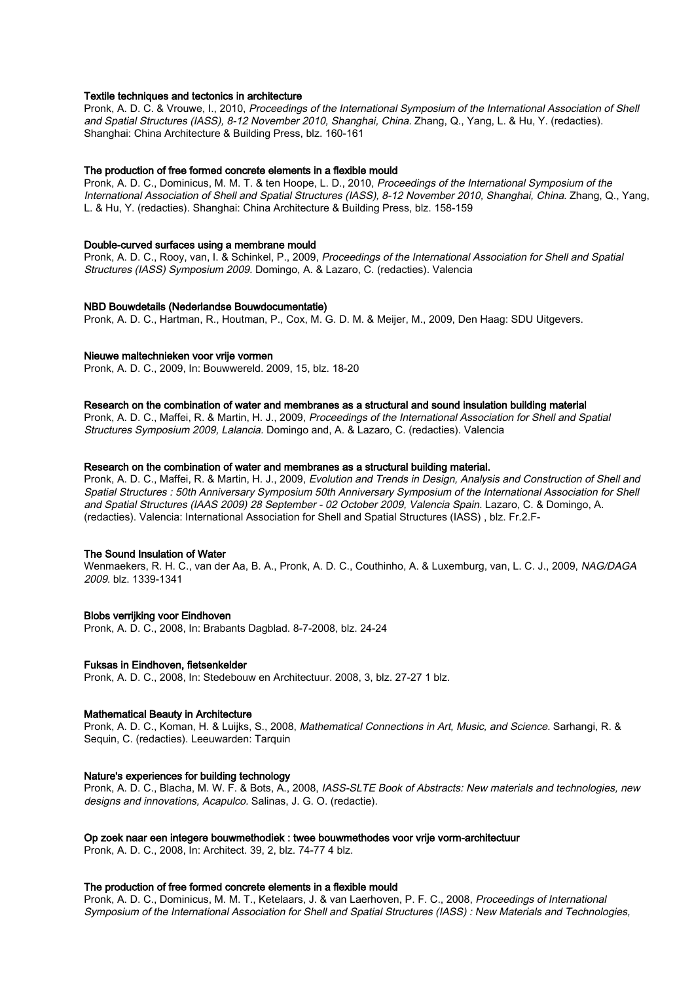## Textile techniques and tectonics in architecture

Pronk, A. D. C. & Vrouwe, I., 2010, Proceedings of the International Symposium of the International Association of Shell and Spatial Structures (IASS), 8-12 November 2010, Shanghai, China. Zhang, Q., Yang, L. & Hu, Y. (redacties). Shanghai: China Architecture & Building Press, blz. 160-161

## The production of free formed concrete elements in a flexible mould

Pronk, A. D. C., Dominicus, M. M. T. & ten Hoope, L. D., 2010, Proceedings of the International Symposium of the International Association of Shell and Spatial Structures (IASS), 8-12 November 2010, Shanghai, China. Zhang, Q., Yang, L. & Hu, Y. (redacties). Shanghai: China Architecture & Building Press, blz. 158-159

#### Double-curved surfaces using a membrane mould

Pronk, A. D. C., Rooy, van, I. & Schinkel, P., 2009, Proceedings of the International Association for Shell and Spatial Structures (IASS) Symposium 2009. Domingo, A. & Lazaro, C. (redacties). Valencia

### NBD Bouwdetails (Nederlandse Bouwdocumentatie)

Pronk, A. D. C., Hartman, R., Houtman, P., Cox, M. G. D. M. & Meijer, M., 2009, Den Haag: SDU Uitgevers.

## Nieuwe maltechnieken voor vrije vormen

Pronk, A. D. C., 2009, In: Bouwwereld. 2009, 15, blz. 18-20

## Research on the combination of water and membranes as a structural and sound insulation building material

Pronk, A. D. C., Maffei, R. & Martin, H. J., 2009, Proceedings of the International Association for Shell and Spatial Structures Symposium 2009, Lalancia. Domingo and, A. & Lazaro, C. (redacties). Valencia

### Research on the combination of water and membranes as a structural building material.

Pronk, A. D. C., Maffei, R. & Martin, H. J., 2009, Evolution and Trends in Design, Analysis and Construction of Shell and Spatial Structures : 50th Anniversary Symposium 50th Anniversary Symposium of the International Association for Shell and Spatial Structures (IAAS 2009) 28 September - 02 October 2009, Valencia Spain. Lazaro, C. & Domingo, A. (redacties). Valencia: International Association for Shell and Spatial Structures (IASS) , blz. Fr.2.F-

#### The Sound Insulation of Water

Wenmaekers, R. H. C., van der Aa, B. A., Pronk, A. D. C., Couthinho, A. & Luxemburg, van, L. C. J., 2009, NAG/DAGA 2009. blz. 1339-1341

# Blobs verrijking voor Eindhoven

Pronk, A. D. C., 2008, In: Brabants Dagblad. 8-7-2008, blz. 24-24

#### Fuksas in Eindhoven, fietsenkelder

Pronk, A. D. C., 2008, In: Stedebouw en Architectuur. 2008, 3, blz. 27-27 1 blz.

#### Mathematical Beauty in Architecture

Pronk, A. D. C., Koman, H. & Luijks, S., 2008, Mathematical Connections in Art, Music, and Science. Sarhangi, R. & Sequin, C. (redacties). Leeuwarden: Tarquin

## Nature's experiences for building technology

Pronk, A. D. C., Blacha, M. W. F. & Bots, A., 2008, IASS-SLTE Book of Abstracts: New materials and technologies, new designs and innovations, Acapulco. Salinas, J. G. O. (redactie).

#### Op zoek naar een integere bouwmethodiek : twee bouwmethodes voor vrije vorm-architectuur

Pronk, A. D. C., 2008, In: Architect. 39, 2, blz. 74-77 4 blz.

#### The production of free formed concrete elements in a flexible mould

Pronk, A. D. C., Dominicus, M. M. T., Ketelaars, J. & van Laerhoven, P. F. C., 2008, Proceedings of International Symposium of the International Association for Shell and Spatial Structures (IASS) : New Materials and Technologies,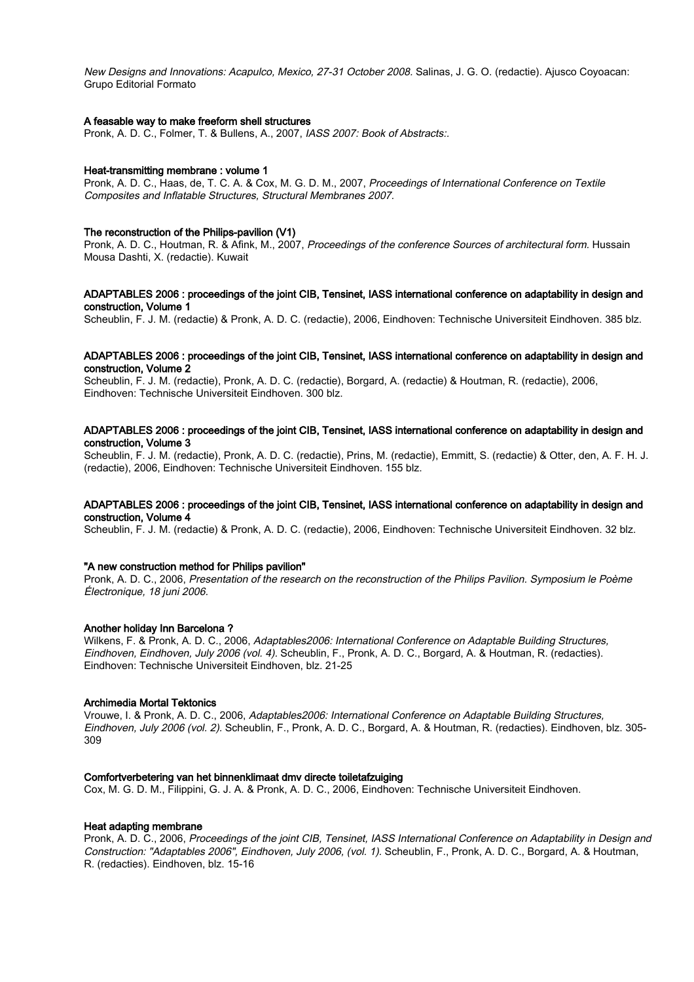New Designs and Innovations: Acapulco, Mexico, 27-31 October 2008. Salinas, J. G. O. (redactie). Ajusco Coyoacan: Grupo Editorial Formato

## A feasable way to make freeform shell structures

Pronk, A. D. C., Folmer, T. & Bullens, A., 2007, IASS 2007: Book of Abstracts:.

#### Heat-transmitting membrane : volume 1

Pronk, A. D. C., Haas, de, T. C. A. & Cox, M. G. D. M., 2007, Proceedings of International Conference on Textile Composites and Inflatable Structures, Structural Membranes 2007.

#### The reconstruction of the Philips-pavilion (V1)

Pronk, A. D. C., Houtman, R. & Afink, M., 2007, Proceedings of the conference Sources of architectural form. Hussain Mousa Dashti, X. (redactie). Kuwait

## ADAPTABLES 2006 : proceedings of the joint CIB, Tensinet, IASS international conference on adaptability in design and construction, Volume 1

Scheublin, F. J. M. (redactie) & Pronk, A. D. C. (redactie), 2006, Eindhoven: Technische Universiteit Eindhoven. 385 blz.

#### ADAPTABLES 2006 : proceedings of the joint CIB, Tensinet, IASS international conference on adaptability in design and construction, Volume 2

Scheublin, F. J. M. (redactie), Pronk, A. D. C. (redactie), Borgard, A. (redactie) & Houtman, R. (redactie), 2006, Eindhoven: Technische Universiteit Eindhoven. 300 blz.

## ADAPTABLES 2006 : proceedings of the joint CIB, Tensinet, IASS international conference on adaptability in design and construction, Volume 3

Scheublin, F. J. M. (redactie), Pronk, A. D. C. (redactie), Prins, M. (redactie), Emmitt, S. (redactie) & Otter, den, A. F. H. J. (redactie), 2006, Eindhoven: Technische Universiteit Eindhoven. 155 blz.

## ADAPTABLES 2006 : proceedings of the joint CIB, Tensinet, IASS international conference on adaptability in design and construction, Volume 4

Scheublin, F. J. M. (redactie) & Pronk, A. D. C. (redactie), 2006, Eindhoven: Technische Universiteit Eindhoven. 32 blz.

# "A new construction method for Philips pavilion"

Pronk, A. D. C., 2006, Presentation of the research on the reconstruction of the Philips Pavilion. Symposium le Poème Électronique, 18 juni 2006.

#### Another holiday Inn Barcelona ?

Wilkens, F. & Pronk, A. D. C., 2006, Adaptables2006: International Conference on Adaptable Building Structures, Eindhoven, Eindhoven, July 2006 (vol. 4). Scheublin, F., Pronk, A. D. C., Borgard, A. & Houtman, R. (redacties). Eindhoven: Technische Universiteit Eindhoven, blz. 21-25

#### Archimedia Mortal Tektonics

Vrouwe, I. & Pronk, A. D. C., 2006, Adaptables2006: International Conference on Adaptable Building Structures, Eindhoven, July 2006 (vol. 2). Scheublin, F., Pronk, A. D. C., Borgard, A. & Houtman, R. (redacties). Eindhoven, blz. 305- 309

#### Comfortverbetering van het binnenklimaat dmv directe toiletafzuiging

Cox, M. G. D. M., Filippini, G. J. A. & Pronk, A. D. C., 2006, Eindhoven: Technische Universiteit Eindhoven.

#### Heat adapting membrane

Pronk, A. D. C., 2006, Proceedings of the joint CIB, Tensinet, IASS International Conference on Adaptability in Design and Construction: "Adaptables 2006", Eindhoven, July 2006, (vol. 1). Scheublin, F., Pronk, A. D. C., Borgard, A. & Houtman, R. (redacties). Eindhoven, blz. 15-16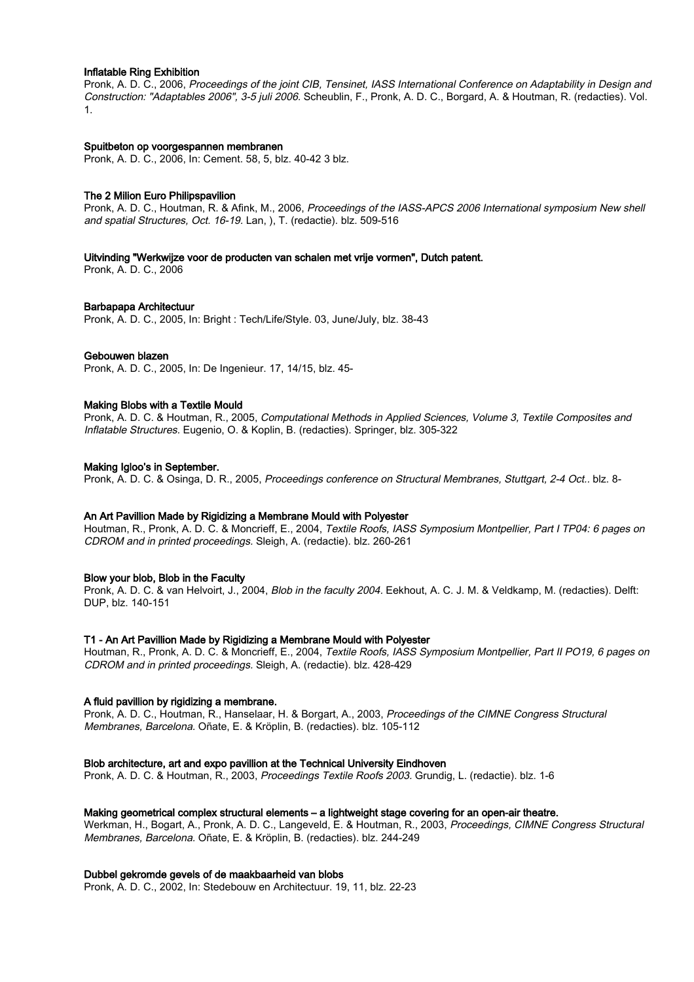## Inflatable Ring Exhibition

Pronk, A. D. C., 2006, Proceedings of the joint CIB, Tensinet, IASS International Conference on Adaptability in Design and Construction: "Adaptables 2006", 3-5 juli 2006. Scheublin, F., Pronk, A. D. C., Borgard, A. & Houtman, R. (redacties). Vol. 1.

#### Spuitbeton op voorgespannen membranen

Pronk, A. D. C., 2006, In: Cement. 58, 5, blz. 40-42 3 blz.

# The 2 Milion Euro Philipspavilion

Pronk, A. D. C., Houtman, R. & Afink, M., 2006, Proceedings of the IASS-APCS 2006 International symposium New shell and spatial Structures, Oct. 16-19. Lan, ), T. (redactie). blz. 509-516

#### Uitvinding "Werkwijze voor de producten van schalen met vrije vormen", Dutch patent.

Pronk, A. D. C., 2006

### Barbapapa Architectuur

Pronk, A. D. C., 2005, In: Bright : Tech/Life/Style. 03, June/July, blz. 38-43

### Gebouwen blazen

Pronk, A. D. C., 2005, In: De Ingenieur. 17, 14/15, blz. 45-

### Making Blobs with a Textile Mould

Pronk, A. D. C. & Houtman, R., 2005, Computational Methods in Applied Sciences, Volume 3, Textile Composites and Inflatable Structures. Eugenio, O. & Koplin, B. (redacties). Springer, blz. 305-322

### Making Igloo's in September.

Pronk, A. D. C. & Osinga, D. R., 2005, Proceedings conference on Structural Membranes, Stuttgart, 2-4 Oct.. blz. 8-

#### An Art Pavillion Made by Rigidizing a Membrane Mould with Polyester

Houtman, R., Pronk, A. D. C. & Moncrieff, E., 2004, Textile Roofs, IASS Symposium Montpellier, Part I TP04: 6 pages on CDROM and in printed proceedings. Sleigh, A. (redactie). blz. 260-261

#### Blow your blob, Blob in the Faculty

Pronk, A. D. C. & van Helvoirt, J., 2004, Blob in the faculty 2004. Eekhout, A. C. J. M. & Veldkamp, M. (redacties). Delft: DUP, blz. 140-151

### T1 - An Art Pavillion Made by Rigidizing a Membrane Mould with Polyester

Houtman, R., Pronk, A. D. C. & Moncrieff, E., 2004, Textile Roofs, IASS Symposium Montpellier, Part II PO19, 6 pages on CDROM and in printed proceedings. Sleigh, A. (redactie). blz. 428-429

# A fluid pavillion by rigidizing a membrane.

Pronk, A. D. C., Houtman, R., Hanselaar, H. & Borgart, A., 2003, Proceedings of the CIMNE Congress Structural Membranes, Barcelona. Oñate, E. & Kröplin, B. (redacties). blz. 105-112

#### Blob architecture, art and expo pavillion at the Technical University Eindhoven

Pronk, A. D. C. & Houtman, R., 2003, Proceedings Textile Roofs 2003. Grundig, L. (redactie). blz. 1-6

## Making geometrical complex structural elements – a lightweight stage covering for an open-air theatre.

Werkman, H., Bogart, A., Pronk, A. D. C., Langeveld, E. & Houtman, R., 2003, Proceedings, CIMNE Congress Structural Membranes, Barcelona. Oñate, E. & Kröplin, B. (redacties). blz. 244-249

#### Dubbel gekromde gevels of de maakbaarheid van blobs

Pronk, A. D. C., 2002, In: Stedebouw en Architectuur. 19, 11, blz. 22-23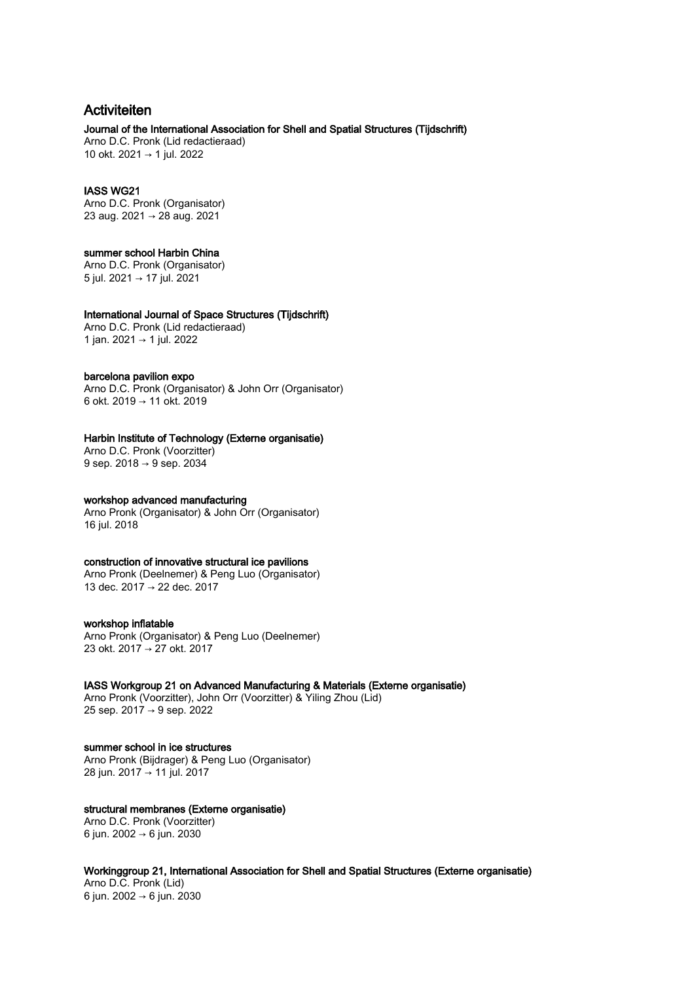# Activiteiten

# Journal of the International Association for Shell and Spatial Structures (Tijdschrift)

Arno D.C. Pronk (Lid redactieraad) 10 okt. 2021 → 1 jul. 2022

# IASS WG21

Arno D.C. Pronk (Organisator) 23 aug. 2021 → 28 aug. 2021

# summer school Harbin China

Arno D.C. Pronk (Organisator) 5 jul. 2021 → 17 jul. 2021

# International Journal of Space Structures (Tijdschrift)

Arno D.C. Pronk (Lid redactieraad) 1 jan. 2021 → 1 jul. 2022

# barcelona pavilion expo

Arno D.C. Pronk (Organisator) & John Orr (Organisator) 6 okt. 2019 → 11 okt. 2019

# Harbin Institute of Technology (Externe organisatie)

Arno D.C. Pronk (Voorzitter) 9 sep. 2018 → 9 sep. 2034

# workshop advanced manufacturing

Arno Pronk (Organisator) & John Orr (Organisator) 16 jul. 2018

# construction of innovative structural ice pavilions

Arno Pronk (Deelnemer) & Peng Luo (Organisator) 13 dec. 2017 → 22 dec. 2017

# workshop inflatable

Arno Pronk (Organisator) & Peng Luo (Deelnemer) 23 okt. 2017 → 27 okt. 2017

# IASS Workgroup 21 on Advanced Manufacturing & Materials (Externe organisatie)

Arno Pronk (Voorzitter), John Orr (Voorzitter) & Yiling Zhou (Lid) 25 sep. 2017 → 9 sep. 2022

# summer school in ice structures

Arno Pronk (Bijdrager) & Peng Luo (Organisator) 28 jun. 2017 → 11 jul. 2017

# structural membranes (Externe organisatie)

Arno D.C. Pronk (Voorzitter) 6 jun. 2002 → 6 jun. 2030

# Workinggroup 21, International Association for Shell and Spatial Structures (Externe organisatie)

Arno D.C. Pronk (Lid) 6 jun. 2002 → 6 jun. 2030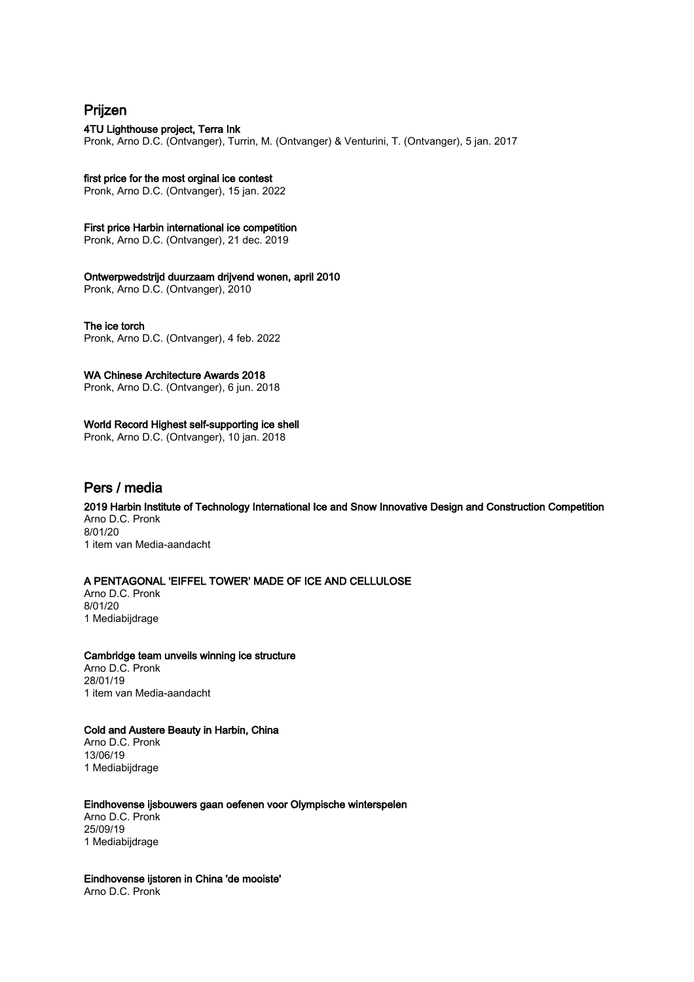# Prijzen

# 4TU Lighthouse project, Terra Ink

Pronk, Arno D.C. (Ontvanger), Turrin, M. (Ontvanger) & Venturini, T. (Ontvanger), 5 jan. 2017

# first price for the most orginal ice contest

Pronk, Arno D.C. (Ontvanger), 15 jan. 2022

# First price Harbin international ice competition

Pronk, Arno D.C. (Ontvanger), 21 dec. 2019

# Ontwerpwedstrijd duurzaam drijvend wonen, april 2010

Pronk, Arno D.C. (Ontvanger), 2010

# The ice torch

Pronk, Arno D.C. (Ontvanger), 4 feb. 2022

# WA Chinese Architecture Awards 2018

Pronk, Arno D.C. (Ontvanger), 6 jun. 2018

# World Record Highest self-supporting ice shell

Pronk, Arno D.C. (Ontvanger), 10 jan. 2018

# Pers / media

2019 Harbin Institute of Technology International Ice and Snow Innovative Design and Construction Competition Arno D.C. Pronk 8/01/20

1 item van Media-aandacht

# A PENTAGONAL 'EIFFEL TOWER' MADE OF ICE AND CELLULOSE

Arno D.C. Pronk 8/01/20 1 Mediabijdrage

# Cambridge team unveils winning ice structure Arno D.C. Pronk 28/01/19 1 item van Media-aandacht

# Cold and Austere Beauty in Harbin, China Arno D.C. Pronk

13/06/19 1 Mediabijdrage

# Eindhovense ijsbouwers gaan oefenen voor Olympische winterspelen Arno D.C. Pronk 25/09/19 1 Mediabijdrage

Eindhovense ijstoren in China 'de mooiste' Arno D.C. Pronk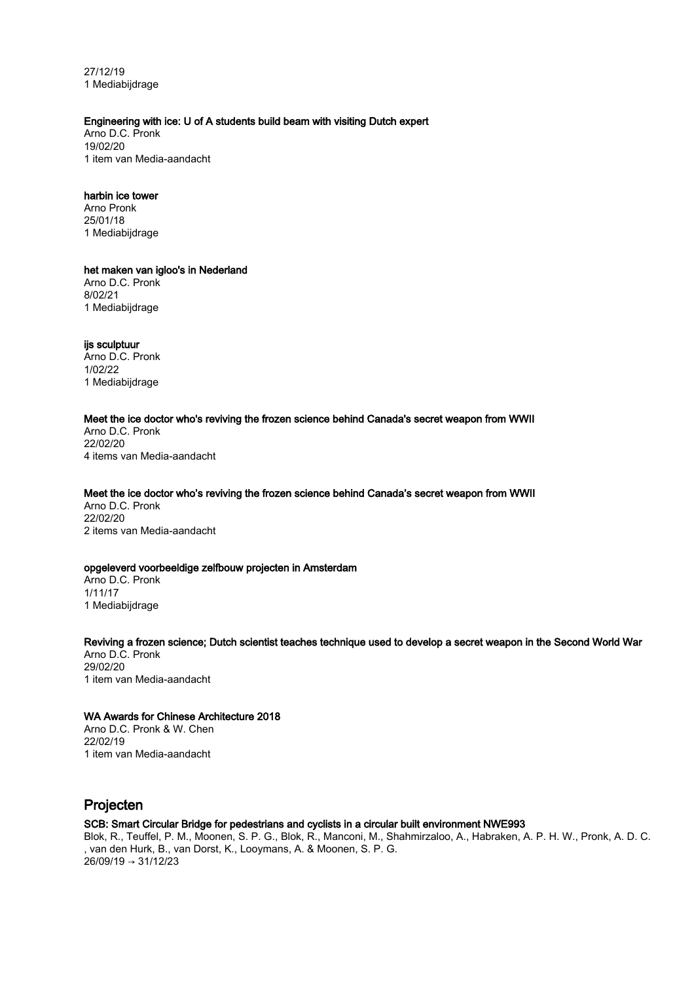27/12/19 1 Mediabijdrage

# Engineering with ice: U of A students build beam with visiting Dutch expert

Arno D.C. Pronk 19/02/20 1 item van Media-aandacht

# harbin ice tower

Arno Pronk 25/01/18 1 Mediabijdrage

het maken van igloo's in Nederland Arno D.C. Pronk 8/02/21 1 Mediabijdrage

ijs sculptuur Arno D.C. Pronk 1/02/22 1 Mediabijdrage

# Meet the ice doctor who's reviving the frozen science behind Canada's secret weapon from WWII

Arno D.C. Pronk 22/02/20 4 items van Media-aandacht

# Meet the ice doctor who's reviving the frozen science behind Canada's secret weapon from WWII

Arno D.C. Pronk 22/02/20 2 items van Media-aandacht

# opgeleverd voorbeeldige zelfbouw projecten in Amsterdam

Arno D.C. Pronk 1/11/17 1 Mediabijdrage

## Reviving a frozen science; Dutch scientist teaches technique used to develop a secret weapon in the Second World War Arno D.C. Pronk 29/02/20

1 item van Media-aandacht

# WA Awards for Chinese Architecture 2018

Arno D.C. Pronk & W. Chen 22/02/19 1 item van Media-aandacht

# Projecten

# SCB: Smart Circular Bridge for pedestrians and cyclists in a circular built environment NWE993

Blok, R., Teuffel, P. M., Moonen, S. P. G., Blok, R., Manconi, M., Shahmirzaloo, A., Habraken, A. P. H. W., Pronk, A. D. C. , van den Hurk, B., van Dorst, K., Looymans, A. & Moonen, S. P. G. 26/09/19 → 31/12/23